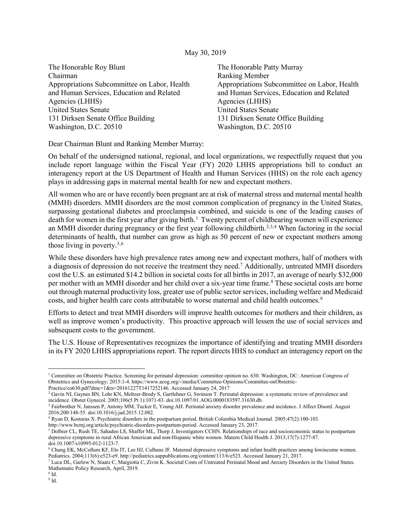## May 30, 2019

| The Honorable Roy Blunt                      | The Honorable Patty Murray                   |
|----------------------------------------------|----------------------------------------------|
| Chairman                                     | <b>Ranking Member</b>                        |
| Appropriations Subcommittee on Labor, Health | Appropriations Subcommittee on Labor, Health |
| and Human Services, Education and Related    | and Human Services, Education and Related    |
| Agencies (LHHS)                              | Agencies (LHHS)                              |
| <b>United States Senate</b>                  | <b>United States Senate</b>                  |
| 131 Dirksen Senate Office Building           | 131 Dirksen Senate Office Building           |
| Washington, D.C. 20510                       | Washington, D.C. 20510                       |
|                                              |                                              |

Dear Chairman Blunt and Ranking Member Murray:

On behalf of the undersigned national, regional, and local organizations, we respectfully request that you include report language within the Fiscal Year (FY) 2020 LHHS appropriations bill to conduct an interagency report at the US Department of Health and Human Services (HHS) on the role each agency plays in addressing gaps in maternal mental health for new and expectant mothers.

All women who are or have recently been pregnant are at risk of maternal stress and maternal mental health (MMH) disorders. MMH disorders are the most common complication of pregnancy in the United States, surpassing gestational diabetes and preeclampsia combined, and suicide is one of the leading causes of death for women in the first year after giving birth.<sup>[1](#page-0-0)</sup> Twenty percent of childbearing women will experience an MMH disorder during pregnancy or the first year following childbirth.[2,](#page-0-1)[3](#page-0-2),[4](#page-0-3) When factoring in the social determinants of health, that number can grow as high as 50 percent of new or expectant mothers among those living in poverty.<sup>[5](#page-0-4),[6](#page-0-5)</sup>

While these disorders have high prevalence rates among new and expectant mothers, half of mothers with a diagnosis of depression do not receive the treatment they need.[7](#page-0-6) Additionally, untreated MMH disorders cost the U.S. an estimated \$14.2 billion in societal costs for all births in 2017, an average of nearly \$32,000 per mother with an MMH disorder and her child over a six-year time frame.[8](#page-0-7) These societal costs are borne out through maternal productivity loss, greater use of public sector services, including welfare and Medicaid costs, and higher health care costs attributable to worse maternal and child health outcomes.<sup>[9](#page-0-8)</sup>

Efforts to detect and treat MMH disorders will improve health outcomes for mothers and their children, as well as improve women's productivity. This proactive approach will lessen the use of social services and subsequent costs to the government.

The U.S. House of Representatives recognizes the importance of identifying and treating MMH disorders in its FY 2020 LHHS appropriations report. The report directs HHS to conduct an interagency report on the

http://www.bcmj.org/article/psychiatric-disorders-postpartum-period. Accessed January 23, 2017.

l

<span id="page-0-0"></span><sup>1</sup> Committee on Obstetric Practice. Screening for perinatal depression: committee opinion no. 630. Washington, DC: American Congress of Obstetrics and Gynecology; 2015:1-4. https://www.acog.org/-/media/Committee-Opinions/Committee-onObstetric-

Practice/co630.pdf?dmc=1&ts=20161227T1417252146. Accessed January 24, 2017

<span id="page-0-1"></span><sup>2</sup> Gavin NI, Gaynes BN, Lohr KN, Meltzer-Brody S, Gartlehner G, Swinson T. Perinatal depression: a systematic review of prevalence and incidence. Obstet Gynecol. 2005;106(5 Pt 1):1071-83. doi:10.1097/01.AOG.0000183597.31630.db.

<span id="page-0-2"></span><sup>&</sup>lt;sup>3</sup> Fairbrother N, Janssen P, Antony MM, Tucker E, Young AH. Perinatal anxiety disorder prevalence and incidence. J Affect Disord. August 2016;200:148-55. doi:10.1016/j.jad.2015.12.082.

<span id="page-0-3"></span><sup>4</sup> Ryan D, Kostaras X. Psychiatric disorders in the postpartum period. British Columbia Medical Journal. 2005;47(2):100-103.

<span id="page-0-4"></span><sup>5</sup> Dolbier CL, Rush TE, Sahadeo LS, Shaffer ML, Thorp J, Investigators CCHN. Relationships of race and socioeconomic status to postpartum depressive symptoms in rural African American and non-Hispanic white women. Matern Child Health J. 2013;17(7):1277-87. doi:10.1007/s10995-012-1123-7.

<span id="page-0-5"></span><sup>6</sup> Chung EK, McCollum KF, Elo IT, Lee HJ, Culhane JF. Maternal depressive symptoms and infant health practices among lowincome women. Pediatrics. 2004;113(6):e523-e9. http://pediatrics.aappublications.org/content/113/6/e523. Accessed January 21, 2017.

<span id="page-0-6"></span><sup>7</sup> Luca DL, Garlow N, Staatz C, Margiotta C, Zivin K. Societal Costs of Untreated Perinatal Mood and Anxiety Disorders in the United States. Mathematic Policy Research, April, 2019.

<span id="page-0-8"></span><span id="page-0-7"></span><sup>8</sup> Id.  $^9$  Id.  $\,$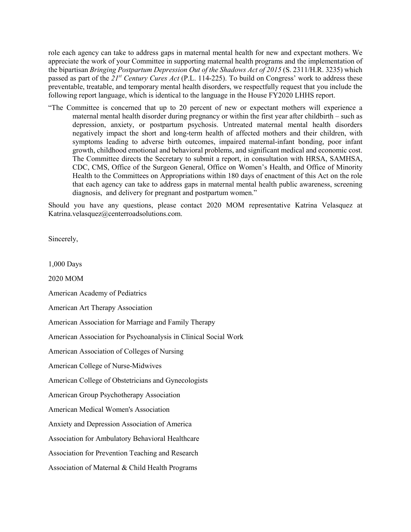role each agency can take to address gaps in maternal mental health for new and expectant mothers. We appreciate the work of your Committee in supporting maternal health programs and the implementation of the bipartisan *Bringing Postpartum Depression Out of the Shadows Act of 2015* (S. 2311/H.R. 3235) which passed as part of the *21st Century Cures Act* (P.L. 114-225). To build on Congress' work to address these preventable, treatable, and temporary mental health disorders, we respectfully request that you include the following report language, which is identical to the language in the House FY2020 LHHS report.

"The Committee is concerned that up to 20 percent of new or expectant mothers will experience a maternal mental health disorder during pregnancy or within the first year after childbirth – such as depression, anxiety, or postpartum psychosis. Untreated maternal mental health disorders negatively impact the short and long-term health of affected mothers and their children, with symptoms leading to adverse birth outcomes, impaired maternal-infant bonding, poor infant growth, childhood emotional and behavioral problems, and significant medical and economic cost. The Committee directs the Secretary to submit a report, in consultation with HRSA, SAMHSA, CDC, CMS, Office of the Surgeon General, Office on Women's Health, and Office of Minority Health to the Committees on Appropriations within 180 days of enactment of this Act on the role that each agency can take to address gaps in maternal mental health public awareness, screening diagnosis, and delivery for pregnant and postpartum women."

Should you have any questions, please contact 2020 MOM representative Katrina Velasquez at Katrina.velasquez@centerroadsolutions.com.

Sincerely,

1,000 Days

2020 MOM

American Academy of Pediatrics

American Art Therapy Association

American Association for Marriage and Family Therapy

American Association for Psychoanalysis in Clinical Social Work

American Association of Colleges of Nursing

American College of Nurse-Midwives

American College of Obstetricians and Gynecologists

American Group Psychotherapy Association

American Medical Women's Association

Anxiety and Depression Association of America

Association for Ambulatory Behavioral Healthcare

Association for Prevention Teaching and Research

Association of Maternal & Child Health Programs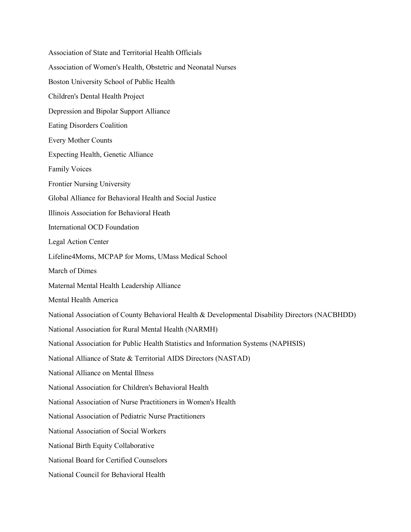Association of State and Territorial Health Officials Association of Women's Health, Obstetric and Neonatal Nurses Boston University School of Public Health Children's Dental Health Project Depression and Bipolar Support Alliance Eating Disorders Coalition Every Mother Counts Expecting Health, Genetic Alliance Family Voices Frontier Nursing University Global Alliance for Behavioral Health and Social Justice Illinois Association for Behavioral Heath International OCD Foundation Legal Action Center Lifeline4Moms, MCPAP for Moms, UMass Medical School March of Dimes Maternal Mental Health Leadership Alliance Mental Health America National Association of County Behavioral Health & Developmental Disability Directors (NACBHDD) National Association for Rural Mental Health (NARMH) National Association for Public Health Statistics and Information Systems (NAPHSIS) National Alliance of State & Territorial AIDS Directors (NASTAD) National Alliance on Mental Illness National Association for Children's Behavioral Health National Association of Nurse Practitioners in Women's Health National Association of Pediatric Nurse Practitioners National Association of Social Workers National Birth Equity Collaborative National Board for Certified Counselors National Council for Behavioral Health